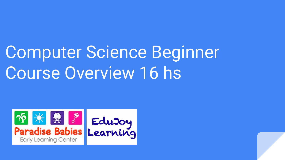## Computer Science Beginner Course Overview 16 hs



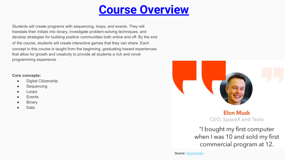## **Course Overview**

Students will create programs with sequencing, loops, and events. They will translate their initials into binary, investigate problem-solving techniques, and develop strategies for building positive communities both online and off. By the end of the course, students will create interactive games that they can share. Each concept in this course is taught from the beginning, graduating toward experiences that allow for growth and creativity to provide all students a rich and novel programming experience.

## **Core concepts:**

- Digital Citizenship
- Sequencing
- Loops
- **Events**
- **Binary**
- Data



**Elon Musk** CEO, SpaceX and Tesla

"I bought my first computer when I was 10 and sold my first commercial program at 12.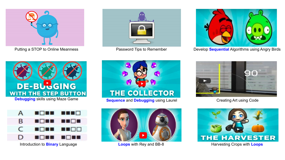





Putting a STOP to Online Meanness **Password Tips to Remember** Develop **Sequential Algorithms using Angry Birds** 







nor T A . <sub>R</sub> a da da nor . .  $\subset$ 136 n d D 88 B B **The County** 

Introduction to **Binary** Language **Loops** with Rey and BB-8 Harvesting Crops with **Loops**



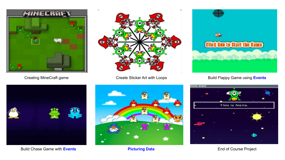





Creating MineCraft game **Create Sticker Art with Loops** Build Flappy Game using Events





Build Chase Game with **Events Picturing Data Picturing Data** End of Course Project